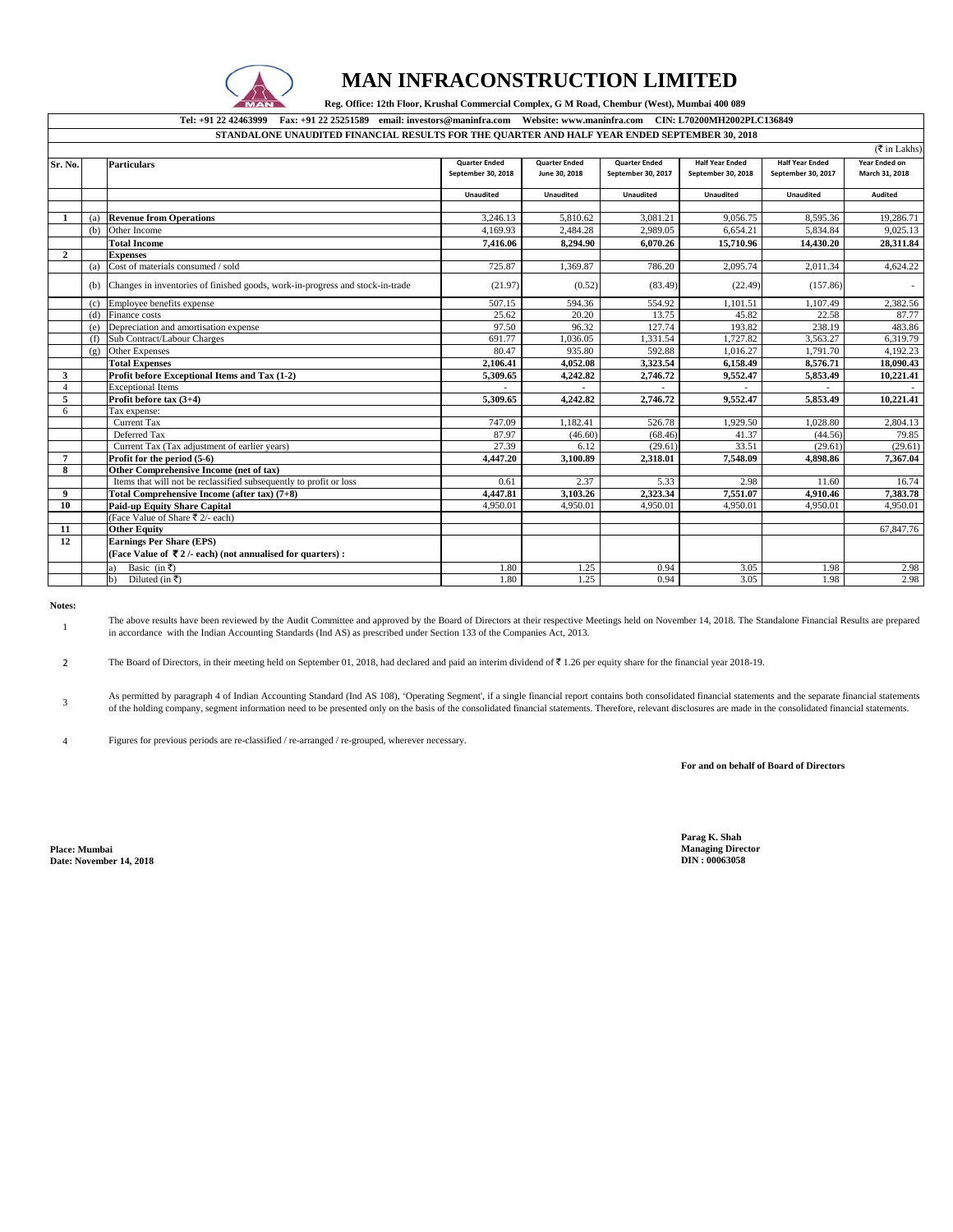

## **MAN INFRACONSTRUCTION LIMITED**

 **Reg. Office: 12th Floor, Krushal Commercial Complex, G M Road, Chembur (West), Mumbai 400 089** 

**Tel: +91 22 42463999 Fax: +91 22 25251589 email: investors@maninfra.com Website: www.maninfra.com CIN: L70200MH2002PLC136849 STANDALONE UNAUDITED FINANCIAL RESULTS FOR THE QUARTER AND HALF YEAR ENDED SEPTEMBER 30, 2018**

|                |     |                                                                               |                      |                      |                      |                        |                        | $(\overline{\mathfrak{F}}$ in Lakhs) |
|----------------|-----|-------------------------------------------------------------------------------|----------------------|----------------------|----------------------|------------------------|------------------------|--------------------------------------|
| Sr. No.        |     | <b>Particulars</b>                                                            | <b>Quarter Ended</b> | <b>Quarter Ended</b> | <b>Quarter Ended</b> | <b>Half Year Ended</b> | <b>Half Year Ended</b> | Year Ended on                        |
|                |     |                                                                               | September 30, 2018   | June 30, 2018        | September 30, 2017   | September 30, 2018     | September 30, 2017     | March 31, 2018                       |
|                |     |                                                                               |                      |                      |                      |                        |                        |                                      |
|                |     |                                                                               | <b>Unaudited</b>     | <b>Unaudited</b>     | <b>Unaudited</b>     | <b>Unaudited</b>       | Unaudited              | Audited                              |
|                |     |                                                                               |                      |                      |                      |                        |                        |                                      |
|                | (a) | <b>Revenue from Operations</b>                                                | 3,246.13             | 5,810.62             | 3,081.21             | 9,056.75               | 8,595.36               | 19,286.71                            |
|                | (b) | Other Income                                                                  | 4.169.93             | 2,484.28             | 2,989.05             | 6,654.21               | 5,834.84               | 9,025.13                             |
|                |     | <b>Total Income</b>                                                           | 7.416.06             | 8.294.90             | 6.070.26             | 15,710.96              | 14.430.20              | 28,311.84                            |
| $\overline{2}$ |     | <b>Expenses</b>                                                               |                      |                      |                      |                        |                        |                                      |
|                | (a) | Cost of materials consumed / sold                                             | 725.87               | 1,369.87             | 786.20               | 2,095.74               | 2,011.34               | 4,624.22                             |
|                | (b) | Changes in inventories of finished goods, work-in-progress and stock-in-trade | (21.97)              | (0.52)               | (83.49)              | (22.49)                | (157.86)               |                                      |
|                | (c) | Employee benefits expense                                                     | 507.15               | 594.36               | 554.92               | 1,101.51               | 1,107.49               | 2,382.56                             |
|                | (d) | Finance costs                                                                 | 25.62                | 20.20                | 13.75                | 45.82                  | 22.58                  | 87.77                                |
|                | (e) | Depreciation and amortisation expense                                         | 97.50                | 96.32                | 127.74               | 193.82                 | 238.19                 | 483.86                               |
|                | (f) | Sub Contract/Labour Charges                                                   | 691.77               | 1,036.05             | 1,331.54             | 1,727.82               | 3,563.27               | 6,319.79                             |
|                | (g) | Other Expenses                                                                | 80.47                | 935.80               | 592.88               | 1,016.27               | 1,791.70               | 4,192.23                             |
|                |     | <b>Total Expenses</b>                                                         | 2,106.41             | 4,052.08             | 3,323.54             | 6,158.49               | 8,576.71               | 18,090.43                            |
| 3              |     | Profit before Exceptional Items and Tax (1-2)                                 | 5.309.65             | 4,242.82             | 2,746.72             | 9,552.47               | 5,853.49               | 10,221.41                            |
| $\overline{A}$ |     | <b>Exceptional Items</b>                                                      |                      |                      |                      |                        |                        |                                      |
| 5              |     | Profit before tax (3+4)                                                       | 5,309.65             | 4,242.82             | 2,746.72             | 9,552.47               | 5,853.49               | 10,221.41                            |
| 6              |     | Tax expense:                                                                  |                      |                      |                      |                        |                        |                                      |
|                |     | <b>Current Tax</b>                                                            | 747.09               | 1,182.41             | 526.78               | 1,929.50               | 1,028.80               | 2,804.13                             |
|                |     | Deferred Tax                                                                  | 87.97                | (46.60)              | (68.46)              | 41.37                  | (44.56)                | 79.85                                |
|                |     | Current Tax (Tax adjustment of earlier years)                                 | 27.39                | 6.12                 | (29.61)              | 33.51                  | (29.61)                | (29.61)                              |
| $\overline{7}$ |     | Profit for the period (5-6)                                                   | 4,447.20             | 3.100.89             | 2.318.01             | 7.548.09               | 4.898.86               | 7.367.04                             |
| 8              |     | Other Comprehensive Income (net of tax)                                       |                      |                      |                      |                        |                        |                                      |
|                |     | Items that will not be reclassified subsequently to profit or loss            | 0.61                 | 2.37                 | 5.33                 | 2.98                   | 11.60                  | 16.74                                |
| 9              |     | Total Comprehensive Income (after tax) (7+8)                                  | 4,447.81             | 3,103.26             | 2,323.34             | 7,551.07               | 4,910.46               | 7,383.78                             |
| 10             |     | <b>Paid-up Equity Share Capital</b>                                           | 4,950.01             | 4,950.01             | 4.950.01             | 4,950.01               | 4,950.01               | 4,950.01                             |
|                |     | (Face Value of Share ₹ 2/- each)                                              |                      |                      |                      |                        |                        |                                      |
| -11            |     | <b>Other Equity</b>                                                           |                      |                      |                      |                        |                        | 67,847.76                            |
| 12             |     | <b>Earnings Per Share (EPS)</b>                                               |                      |                      |                      |                        |                        |                                      |
|                |     | (Face Value of ₹2/- each) (not annualised for quarters):                      |                      |                      |                      |                        |                        |                                      |
|                |     | Basic (in ₹)<br>a)                                                            | 1.80                 | 1.25                 | 0.94                 | 3.05                   | 1.98                   | 2.98                                 |
|                |     |                                                                               | 1.80                 |                      | 0.94                 |                        | 1.98                   | 2.98                                 |
|                |     | Diluted (in ₹)<br>b)                                                          |                      | 1.25                 |                      | 3.05                   |                        |                                      |

**Notes:**

1 The above results have been reviewed by the Audit Committee and approved by the Board of Directors at their respective Meetings held on November 14, 2018. The Standalone Financial Results are prepared in accordance with the Indian Accounting Standards (Ind AS) as prescribed under Section 133 of the Companies Act, 2013.

2 The Board of Directors, in their meeting held on September 01, 2018, had declared and paid an interim dividend of ₹ 1.26 per equity share for the financial year 2018-19.

3 As permitted by paragraph 4 of Indian Accounting Standard (Ind AS 108), 'Operating Segment', if a single financial report contains both consolidated financial statements and the separate financial statements of the holding company, segment information need to be presented only on the basis of the consolidated financial statements. Therefore, relevant disclosures are made in the consolidated financial statements.

4 Figures for previous periods are re-classified / re-arranged / re-grouped, wherever necessary.

**For and on behalf of Board of Directors**

**Place: Mumbai Managing Director Date: November 14, 2018** 

**Parag K. Shah**